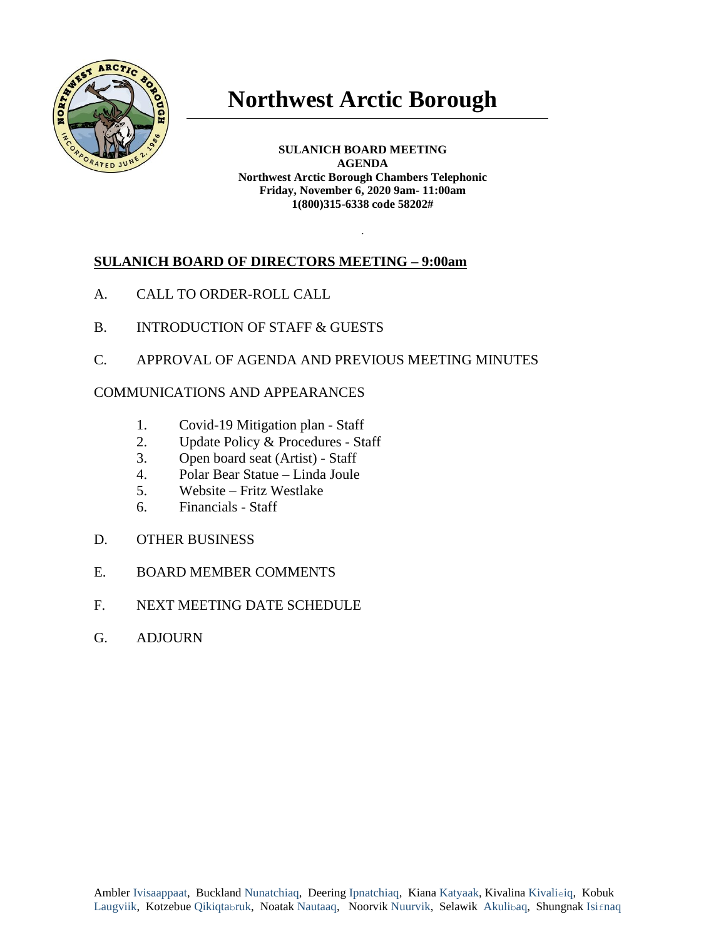

# **Northwest Arctic Borough**

**SULANICH BOARD MEETING AGENDA Northwest Arctic Borough Chambers Telephonic Friday, November 6, 2020 9am- 11:00am 1(800)315-6338 code 58202#**

.

## **SULANICH BOARD OF DIRECTORS MEETING – 9:00am**

- A. CALL TO ORDER-ROLL CALL
- B. INTRODUCTION OF STAFF & GUESTS
- C. APPROVAL OF AGENDA AND PREVIOUS MEETING MINUTES

#### COMMUNICATIONS AND APPEARANCES

- 1. Covid-19 Mitigation plan Staff
- 2. Update Policy & Procedures Staff
- 3. Open board seat (Artist) Staff
- 4. Polar Bear Statue Linda Joule
- 5. Website Fritz Westlake
- 6. Financials Staff
- D. OTHER BUSINESS
- E. BOARD MEMBER COMMENTS
- F. NEXT MEETING DATE SCHEDULE
- G. ADJOURN